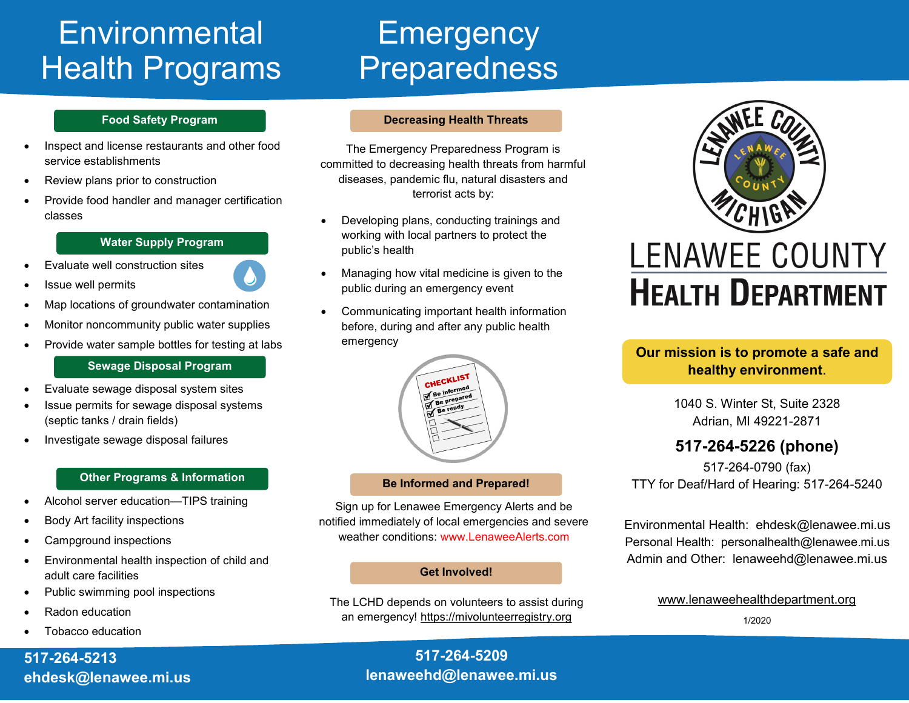# **Environmental Health Programs**

### **Food Safety Program**

- Inspect and license restaurants and other food service establishments
- Review plans prior to construction
- Provide food handler and manager certification classes

**Water Supply Program**

- Evaluate well construction sites
- Issue well permits
- Map locations of groundwater contamination
- Monitor noncommunity public water supplies
- Provide water sample bottles for testing at labs

## **Sewage Disposal Program**

- Evaluate sewage disposal system sites
- Issue permits for sewage disposal systems (septic tanks / drain fields)
- Investigate sewage disposal failures

## **Other Programs & Information**

- Alcohol server education—TIPS training
- Body Art facility inspections
- Campground inspections
- Environmental health inspection of child and adult care facilities
- Public swimming pool inspections
- Radon education
- Tobacco education

# **517-264-5213 ehdesk@lenawee.mi.us**

# **Emergency** Preparedness

## **Decreasing Health Threats**

The Emergency Preparedness Program is committed to decreasing health threats from harmful diseases, pandemic flu, natural disasters and terrorist acts by:

- Developing plans, conducting trainings and working with local partners to protect the public's health
- Managing how vital medicine is given to the public during an emergency event
- Communicating important health information before, during and after any public health emergency



## **Be Informed and Prepared!**

Sign up for Lenawee Emergency Alerts and be notified immediately of local emergencies and severe weather conditions: www.LenaweeAlerts.com

#### **Get Involved!**

The LCHD depends on volunteers to assist during an emergency! https://mivolunteerregistry.org



# **LENAWEE COUNTY HEALTH DEPARTMENT**

# **Our mission is to promote a safe and healthy environment**.

1040 S. Winter St, Suite 2328 Adrian, MI 49221-2871

# **517-264-5226 (phone)**

517-264-0790 (fax) TTY for Deaf/Hard of Hearing: 517-264-5240

Environmental Health: ehdesk@lenawee.mi.us Personal Health: personalhealth@lenawee.mi.us Admin and Other: lenaweehd@lenawee.mi.us

www.lenaweehealthdepartment.org

1/2020

**517-264-5209 lenaweehd@lenawee.mi.us**